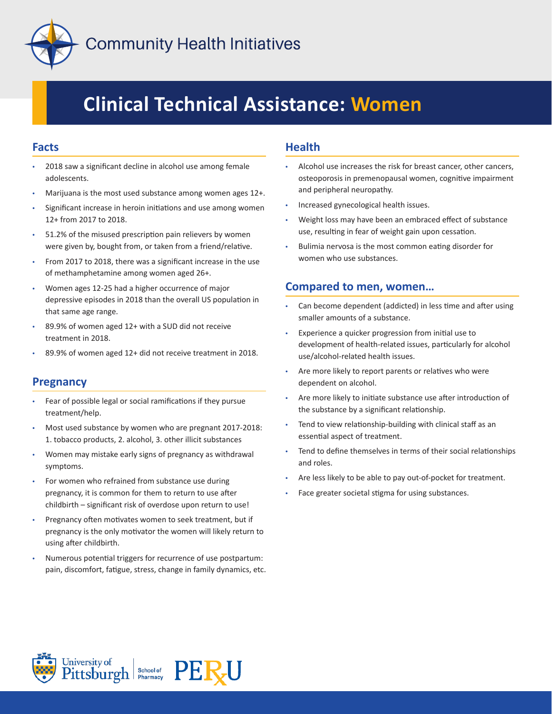

# **Clinical Technical Assistance: Women**

## **Facts**

- 2018 saw a significant decline in alcohol use among female adolescents.
- Marijuana is the most used substance among women ages 12+.
- Significant increase in heroin initiations and use among women 12+ from 2017 to 2018.
- 51.2% of the misused prescription pain relievers by women were given by, bought from, or taken from a friend/relative.
- From 2017 to 2018, there was a significant increase in the use of methamphetamine among women aged 26+.
- Women ages 12-25 had a higher occurrence of major depressive episodes in 2018 than the overall US population in that same age range.
- 89.9% of women aged 12+ with a SUD did not receive treatment in 2018.
- 89.9% of women aged 12+ did not receive treatment in 2018.

# **Pregnancy**

- Fear of possible legal or social ramifications if they pursue treatment/help.
- Most used substance by women who are pregnant 2017-2018: 1. tobacco products, 2. alcohol, 3. other illicit substances
- Women may mistake early signs of pregnancy as withdrawal symptoms.
- For women who refrained from substance use during pregnancy, it is common for them to return to use after childbirth – significant risk of overdose upon return to use!
- Pregnancy often motivates women to seek treatment, but if pregnancy is the only motivator the women will likely return to using after childbirth.
- Numerous potential triggers for recurrence of use postpartum: pain, discomfort, fatigue, stress, change in family dynamics, etc.

## **Health**

- Alcohol use increases the risk for breast cancer, other cancers, osteoporosis in premenopausal women, cognitive impairment and peripheral neuropathy.
- Increased gynecological health issues.
- Weight loss may have been an embraced effect of substance use, resulting in fear of weight gain upon cessation.
- Bulimia nervosa is the most common eating disorder for women who use substances.

## **Compared to men, women…**

- Can become dependent (addicted) in less time and after using smaller amounts of a substance.
- Experience a quicker progression from initial use to development of health-related issues, particularly for alcohol use/alcohol-related health issues.
- Are more likely to report parents or relatives who were dependent on alcohol.
- Are more likely to initiate substance use after introduction of the substance by a significant relationship.
- Tend to view relationship-building with clinical staff as an essential aspect of treatment.
- Tend to define themselves in terms of their social relationships and roles.
- Are less likely to be able to pay out-of-pocket for treatment.
- Face greater societal stigma for using substances.